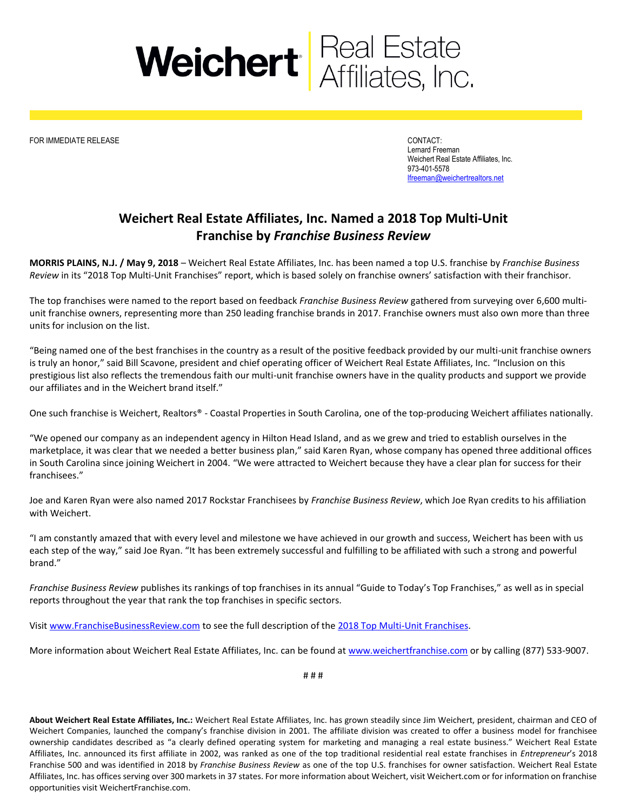

FOR IMMEDIATE RELEASE CONTACT:

Lernard Freeman Weichert Real Estate Affiliates, Inc. 973-401-5578 [lfreeman@weichertrealtors.net](mailto:lfreeman@weichertrealtors.net)

## **Weichert Real Estate Affiliates, Inc. Named a 2018 Top Multi-Unit Franchise by** *Franchise Business Review*

**MORRIS PLAINS, N.J. / May 9, 2018** – Weichert Real Estate Affiliates, Inc. has been named a top U.S. franchise by *Franchise Business Review* in its "2018 Top Multi-Unit Franchises" report, which is based solely on franchise owners' satisfaction with their franchisor.

The top franchises were named to the report based on feedback *Franchise Business Review* gathered from surveying over 6,600 multiunit franchise owners, representing more than 250 leading franchise brands in 2017. Franchise owners must also own more than three units for inclusion on the list.

"Being named one of the best franchises in the country as a result of the positive feedback provided by our multi-unit franchise owners is truly an honor," said Bill Scavone, president and chief operating officer of Weichert Real Estate Affiliates, Inc. "Inclusion on this prestigious list also reflects the tremendous faith our multi-unit franchise owners have in the quality products and support we provide our affiliates and in the Weichert brand itself."

One such franchise is Weichert, Realtors® - Coastal Properties in South Carolina, one of the top-producing Weichert affiliates nationally.

"We opened our company as an independent agency in Hilton Head Island, and as we grew and tried to establish ourselves in the marketplace, it was clear that we needed a better business plan," said Karen Ryan, whose company has opened three additional offices in South Carolina since joining Weichert in 2004. "We were attracted to Weichert because they have a clear plan for success for their franchisees."

Joe and Karen Ryan were also named 2017 Rockstar Franchisees by *Franchise Business Review*, which Joe Ryan credits to his affiliation with Weichert.

"I am constantly amazed that with every level and milestone we have achieved in our growth and success, Weichert has been with us each step of the way," said Joe Ryan. "It has been extremely successful and fulfilling to be affiliated with such a strong and powerful brand."

*Franchise Business Review* publishes its rankings of top franchises in its annual "Guide to Today's Top Franchises," as well as in special reports throughout the year that rank the top franchises in specific sectors.

Visi[t www.FranchiseBusinessReview.com](http://www.franchisebusinessreview.com/) to see the full description of the [2018 Top Multi-Unit Franchises.](https://franchisebusinessreview.com/page/top-multi-unit-franchises-2018/)

More information about Weichert Real Estate Affiliates, Inc. can be found a[t www.weichertfranchise.com](http://www.weichertfranchise.com/) or by calling (877) 533-9007.

# # #

**About Weichert Real Estate Affiliates, Inc.:** Weichert Real Estate Affiliates, Inc. has grown steadily since Jim Weichert, president, chairman and CEO of Weichert Companies, launched the company's franchise division in 2001. The affiliate division was created to offer a business model for franchisee ownership candidates described as "a clearly defined operating system for marketing and managing a real estate business." Weichert Real Estate Affiliates, Inc. announced its first affiliate in 2002, was ranked as one of the top traditional residential real estate franchises in *Entrepreneur*'s 2018 Franchise 500 and was identified in 2018 by *Franchise Business Review* as one of the top U.S. franchises for owner satisfaction. Weichert Real Estate Affiliates, Inc. has offices serving over 300 markets in 37 states. For more information about Weichert, visit Weichert.com or for information on franchise opportunities visit WeichertFranchise.com.